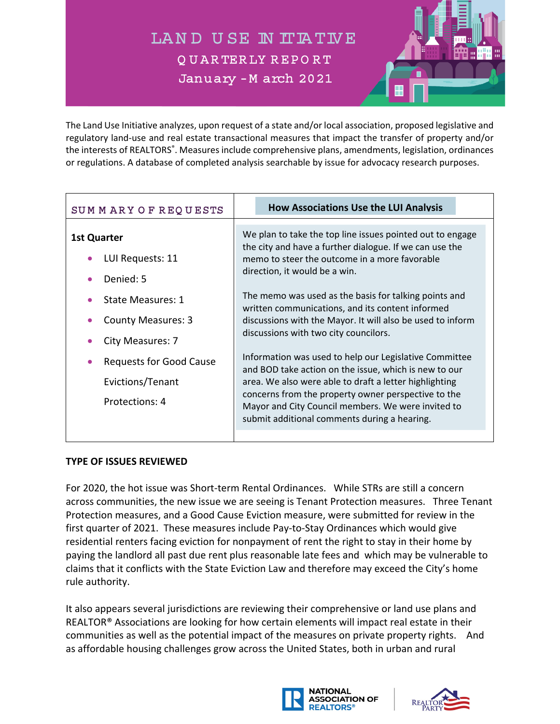LAND USE IN ITIATIVE Q U A R TER LY R EP O R T January - M arch 2021



The Land Use Initiative analyzes, upon request of a state and/or local association, proposed legislative and regulatory land‐use and real estate transactional measures that impact the transfer of property and/or the interests of REALTORS<sup>®</sup>. Measures include comprehensive plans, amendments, legislation, ordinances or regulations. A database of completed analysis searchable by issue for advocacy research purposes.

| SUMMARY OF REQUESTS                                                  | <b>How Associations Use the LUI Analysis</b>                                                                                                                                                                                                                                                                                           |
|----------------------------------------------------------------------|----------------------------------------------------------------------------------------------------------------------------------------------------------------------------------------------------------------------------------------------------------------------------------------------------------------------------------------|
| <b>1st Quarter</b><br>LUI Requests: 11<br>Denied: 5                  | We plan to take the top line issues pointed out to engage<br>the city and have a further dialogue. If we can use the<br>memo to steer the outcome in a more favorable<br>direction, it would be a win.                                                                                                                                 |
| State Measures: 1<br><b>County Measures: 3</b><br>City Measures: 7   | The memo was used as the basis for talking points and<br>written communications, and its content informed<br>discussions with the Mayor. It will also be used to inform<br>discussions with two city councilors.                                                                                                                       |
| <b>Requests for Good Cause</b><br>Evictions/Tenant<br>Protections: 4 | Information was used to help our Legislative Committee<br>and BOD take action on the issue, which is new to our<br>area. We also were able to draft a letter highlighting<br>concerns from the property owner perspective to the<br>Mayor and City Council members. We were invited to<br>submit additional comments during a hearing. |

## **TYPE OF ISSUES REVIEWED**

For 2020, the hot issue was Short‐term Rental Ordinances. While STRs are still a concern across communities, the new issue we are seeing is Tenant Protection measures. Three Tenant Protection measures, and a Good Cause Eviction measure, were submitted for review in the first quarter of 2021. These measures include Pay‐to‐Stay Ordinances which would give residential renters facing eviction for nonpayment of rent the right to stay in their home by paying the landlord all past due rent plus reasonable late fees and which may be vulnerable to claims that it conflicts with the State Eviction Law and therefore may exceed the City's home rule authority.

It also appears several jurisdictions are reviewing their comprehensive or land use plans and REALTOR® Associations are looking for how certain elements will impact real estate in their communities as well as the potential impact of the measures on private property rights. And as affordable housing challenges grow across the United States, both in urban and rural